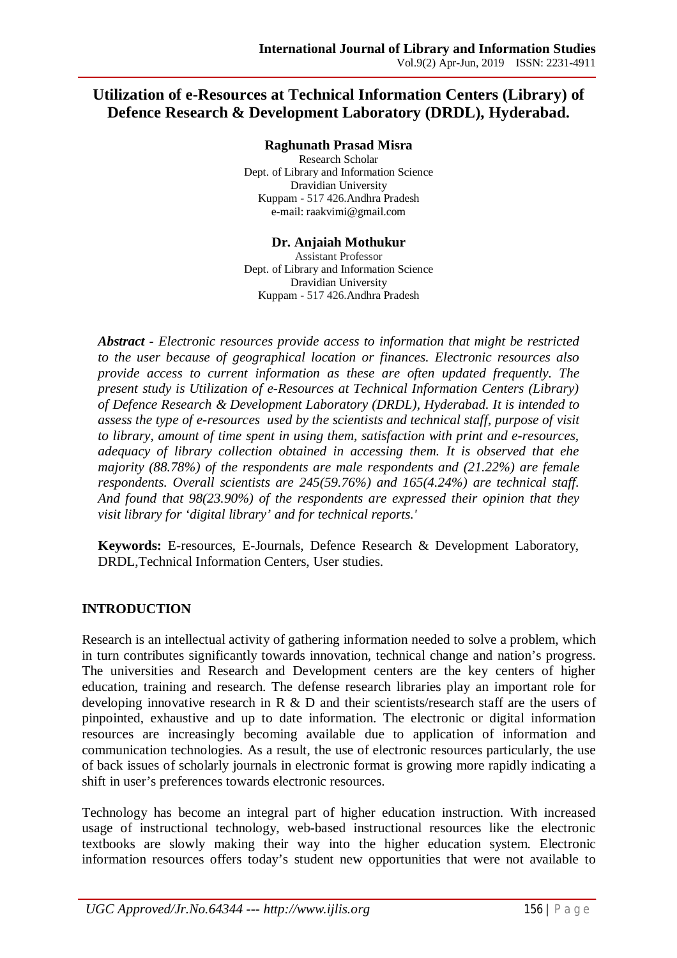# **Utilization of e-Resources at Technical Information Centers (Library) of Defence Research & Development Laboratory (DRDL), Hyderabad.**

#### **Raghunath Prasad Misra**

Research Scholar Dept. of Library and Information Science Dravidian University Kuppam - 517 426.Andhra Pradesh e-mail: raakvimi@gmail.com

#### **Dr. Anjaiah Mothukur**

Assistant Professor Dept. of Library and Information Science Dravidian University Kuppam - 517 426.Andhra Pradesh

*Abstract - Electronic resources provide access to information that might be restricted to the user because of geographical location or finances. Electronic resources also provide access to current information as these are often updated frequently. The present study is Utilization of e-Resources at Technical Information Centers (Library) of Defence Research & Development Laboratory (DRDL), Hyderabad. It is intended to assess the type of e-resources used by the scientists and technical staff, purpose of visit to library, amount of time spent in using them, satisfaction with print and e-resources, adequacy of library collection obtained in accessing them. It is observed that ehe majority (88.78%) of the respondents are male respondents and (21.22%) are female respondents. Overall scientists are 245(59.76%) and 165(4.24%) are technical staff. And found that 98(23.90%) of the respondents are expressed their opinion that they visit library for 'digital library' and for technical reports.'*

**Keywords:** E-resources, E-Journals, Defence Research & Development Laboratory, DRDL,Technical Information Centers, User studies.

### **INTRODUCTION**

Research is an intellectual activity of gathering information needed to solve a problem, which in turn contributes significantly towards innovation, technical change and nation's progress. The universities and Research and Development centers are the key centers of higher education, training and research. The defense research libraries play an important role for developing innovative research in R & D and their scientists/research staff are the users of pinpointed, exhaustive and up to date information. The electronic or digital information resources are increasingly becoming available due to application of information and communication technologies. As a result, the use of electronic resources particularly, the use of back issues of scholarly journals in electronic format is growing more rapidly indicating a shift in user's preferences towards electronic resources.

Technology has become an integral part of higher education instruction. With increased usage of instructional technology, web-based instructional resources like the electronic textbooks are slowly making their way into the higher education system. Electronic information resources offers today's student new opportunities that were not available to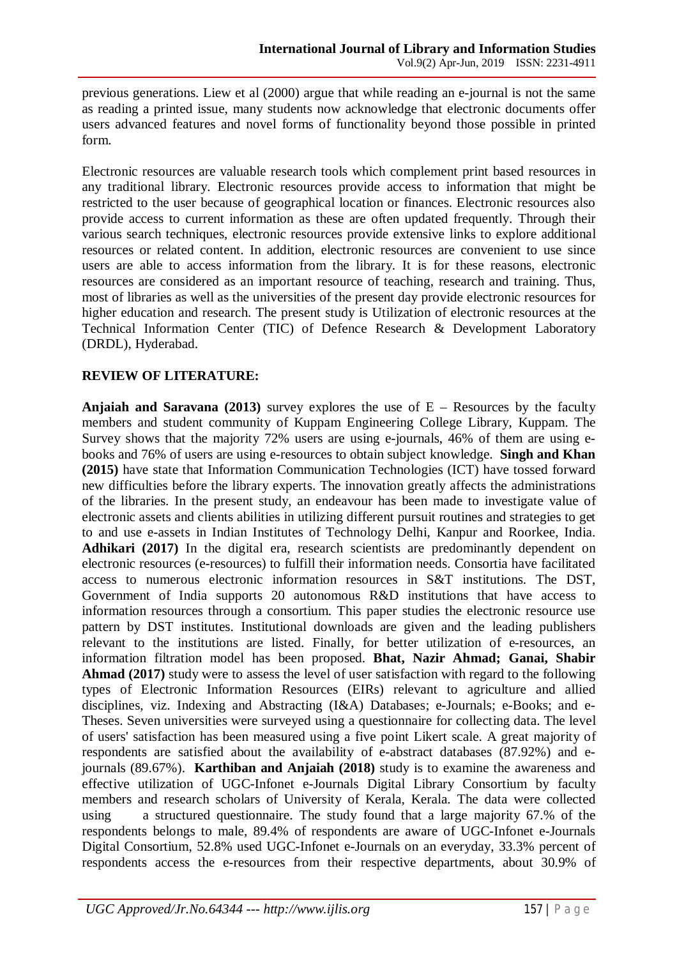previous generations. Liew et al (2000) argue that while reading an e-journal is not the same as reading a printed issue, many students now acknowledge that electronic documents offer users advanced features and novel forms of functionality beyond those possible in printed form.

Electronic resources are valuable research tools which complement print based resources in any traditional library. Electronic resources provide access to information that might be restricted to the user because of geographical location or finances. Electronic resources also provide access to current information as these are often updated frequently. Through their various search techniques, electronic resources provide extensive links to explore additional resources or related content. In addition, electronic resources are convenient to use since users are able to access information from the library. It is for these reasons, electronic resources are considered as an important resource of teaching, research and training. Thus, most of libraries as well as the universities of the present day provide electronic resources for higher education and research. The present study is Utilization of electronic resources at the Technical Information Center (TIC) of Defence Research & Development Laboratory (DRDL), Hyderabad.

### **REVIEW OF LITERATURE:**

**Anjaiah and Saravana (2013)** survey explores the use of  $E$  – Resources by the faculty members and student community of Kuppam Engineering College Library, Kuppam. The Survey shows that the majority 72% users are using e-journals, 46% of them are using ebooks and 76% of users are using e-resources to obtain subject knowledge. **Singh and Khan (2015)** have state that Information Communication Technologies (ICT) have tossed forward new difficulties before the library experts. The innovation greatly affects the administrations of the libraries. In the present study, an endeavour has been made to investigate value of electronic assets and clients abilities in utilizing different pursuit routines and strategies to get to and use e-assets in Indian Institutes of Technology Delhi, Kanpur and Roorkee, India. Adhikari (2017) In the digital era, research scientists are predominantly dependent on electronic resources (e-resources) to fulfill their information needs. Consortia have facilitated access to numerous electronic information resources in S&T institutions. The DST, Government of India supports 20 autonomous R&D institutions that have access to information resources through a consortium. This paper studies the electronic resource use pattern by DST institutes. Institutional downloads are given and the leading publishers relevant to the institutions are listed. Finally, for better utilization of e-resources, an information filtration model has been proposed. **Bhat, Nazir Ahmad; Ganai, Shabir Ahmad (2017)** study were to assess the level of user satisfaction with regard to the following types of Electronic Information Resources (EIRs) relevant to agriculture and allied disciplines, viz. Indexing and Abstracting (I&A) Databases; e-Journals; e-Books; and e-Theses. Seven universities were surveyed using a questionnaire for collecting data. The level of users' satisfaction has been measured using a five point Likert scale. A great majority of respondents are satisfied about the availability of e-abstract databases (87.92%) and ejournals (89.67%). **Karthiban and Anjaiah (2018)** study is to examine the awareness and effective utilization of UGC-Infonet e-Journals Digital Library Consortium by faculty members and research scholars of University of Kerala, Kerala. The data were collected using a structured questionnaire. The study found that a large majority 67.% of the respondents belongs to male, 89.4% of respondents are aware of UGC-Infonet e-Journals Digital Consortium, 52.8% used UGC-Infonet e-Journals on an everyday, 33.3% percent of respondents access the e-resources from their respective departments, about 30.9% of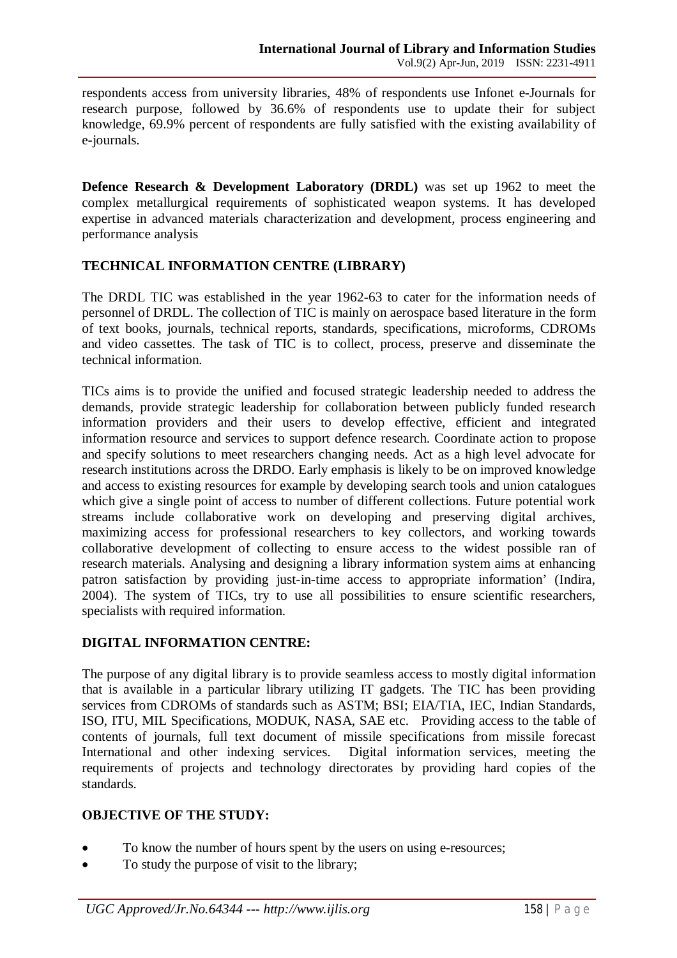respondents access from university libraries, 48% of respondents use Infonet e-Journals for research purpose, followed by 36.6% of respondents use to update their for subject knowledge, 69.9% percent of respondents are fully satisfied with the existing availability of e-journals.

**Defence Research & Development Laboratory (DRDL)** was set up 1962 to meet the complex metallurgical requirements of sophisticated weapon systems. It has developed expertise in advanced materials characterization and development, process engineering and performance analysis

### **TECHNICAL INFORMATION CENTRE (LIBRARY)**

The DRDL TIC was established in the year 1962-63 to cater for the information needs of personnel of DRDL. The collection of TIC is mainly on aerospace based literature in the form of text books, journals, technical reports, standards, specifications, microforms, CDROMs and video cassettes. The task of TIC is to collect, process, preserve and disseminate the technical information.

TICs aims is to provide the unified and focused strategic leadership needed to address the demands, provide strategic leadership for collaboration between publicly funded research information providers and their users to develop effective, efficient and integrated information resource and services to support defence research. Coordinate action to propose and specify solutions to meet researchers changing needs. Act as a high level advocate for research institutions across the DRDO. Early emphasis is likely to be on improved knowledge and access to existing resources for example by developing search tools and union catalogues which give a single point of access to number of different collections. Future potential work streams include collaborative work on developing and preserving digital archives, maximizing access for professional researchers to key collectors, and working towards collaborative development of collecting to ensure access to the widest possible ran of research materials. Analysing and designing a library information system aims at enhancing patron satisfaction by providing just-in-time access to appropriate information' (Indira, 2004). The system of TICs, try to use all possibilities to ensure scientific researchers, specialists with required information.

### **DIGITAL INFORMATION CENTRE:**

The purpose of any digital library is to provide seamless access to mostly digital information that is available in a particular library utilizing IT gadgets. The TIC has been providing services from CDROMs of standards such as ASTM; BSI; EIA/TIA, IEC, Indian Standards, ISO, ITU, MIL Specifications, MODUK, NASA, SAE etc. Providing access to the table of contents of journals, full text document of missile specifications from missile forecast International and other indexing services. Digital information services, meeting the requirements of projects and technology directorates by providing hard copies of the standards.

### **OBJECTIVE OF THE STUDY:**

- To know the number of hours spent by the users on using e-resources;
- To study the purpose of visit to the library;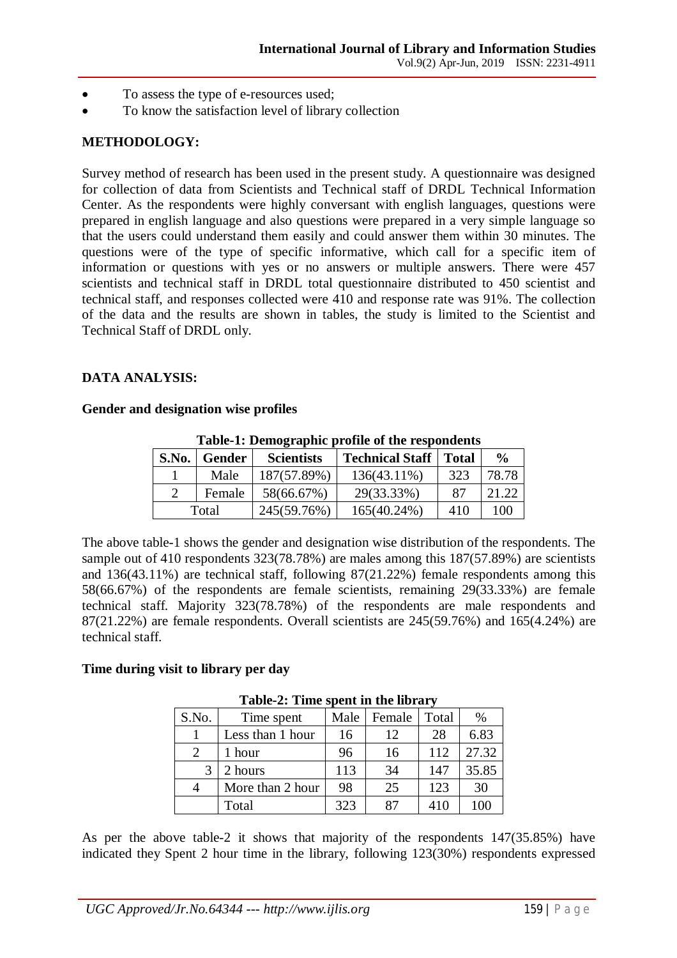- To assess the type of e-resources used;
- To know the satisfaction level of library collection

## **METHODOLOGY:**

Survey method of research has been used in the present study. A questionnaire was designed for collection of data from Scientists and Technical staff of DRDL Technical Information Center. As the respondents were highly conversant with english languages, questions were prepared in english language and also questions were prepared in a very simple language so that the users could understand them easily and could answer them within 30 minutes. The questions were of the type of specific informative, which call for a specific item of information or questions with yes or no answers or multiple answers. There were 457 scientists and technical staff in DRDL total questionnaire distributed to 450 scientist and technical staff, and responses collected were 410 and response rate was 91%. The collection of the data and the results are shown in tables, the study is limited to the Scientist and Technical Staff of DRDL only.

#### **DATA ANALYSIS:**

#### **Gender and designation wise profiles**

| Tuble 1. Demographic prome of the respondence |        |                   |                        |       |               |  |  |
|-----------------------------------------------|--------|-------------------|------------------------|-------|---------------|--|--|
| S.No.                                         | Gender | <b>Scientists</b> | <b>Technical Staff</b> | Total | $\frac{0}{0}$ |  |  |
|                                               | Male   | 187(57.89%)       | 136(43.11%)            | 323   | 78.78         |  |  |
|                                               | Female | 58(66.67%)        | 29(33.33%)             | 87    | 21.22         |  |  |
| Total                                         |        | 245(59.76%)       | 165(40.24%)            | 410   | 100           |  |  |

**Table-1: Demographic profile of the respondents**

The above table-1 shows the gender and designation wise distribution of the respondents. The sample out of 410 respondents 323(78.78%) are males among this 187(57.89%) are scientists and 136(43.11%) are technical staff, following 87(21.22%) female respondents among this 58(66.67%) of the respondents are female scientists, remaining 29(33.33%) are female technical staff. Majority 323(78.78%) of the respondents are male respondents and 87(21.22%) are female respondents. Overall scientists are 245(59.76%) and 165(4.24%) are technical staff.

#### **Time during visit to library per day**

| $100C2$ , $100C3$ , $10C4$ , $10C5$ , $10C5$ |                  |      |        |       |       |  |
|----------------------------------------------|------------------|------|--------|-------|-------|--|
| S.No.                                        | Time spent       | Male | Female | Total | %     |  |
|                                              | Less than 1 hour | 16   | 12     | 28    | 6.83  |  |
|                                              | 1 hour           | 96   | 16     | 112   | 27.32 |  |
|                                              | 2 hours          | 113  | 34     | 147   | 35.85 |  |
|                                              | More than 2 hour | 98   | 25     | 123   | 30    |  |
|                                              | Total            | 323  | 87     | 410   | 100   |  |

**Table-2: Time spent in the library**

As per the above table-2 it shows that majority of the respondents 147(35.85%) have indicated they Spent 2 hour time in the library, following 123(30%) respondents expressed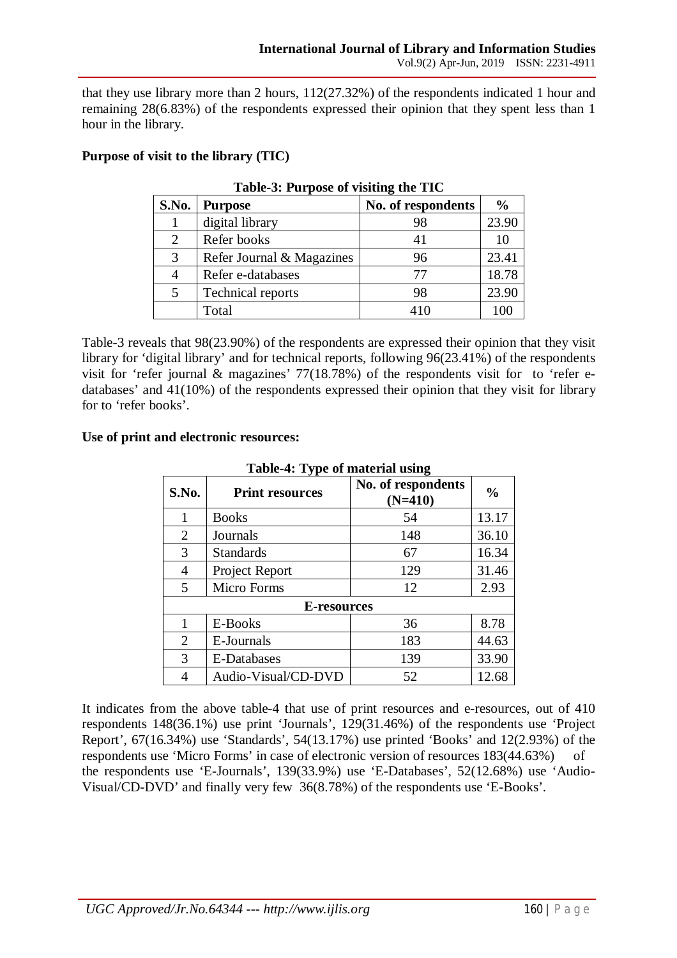that they use library more than 2 hours, 112(27.32%) of the respondents indicated 1 hour and remaining 28(6.83%) of the respondents expressed their opinion that they spent less than 1 hour in the library.

### **Purpose of visit to the library (TIC)**

| $1000 \text{ V}$ , $101 \text{ p}$ |                           |                    |               |  |  |  |
|------------------------------------|---------------------------|--------------------|---------------|--|--|--|
| S.No.                              | <b>Purpose</b>            | No. of respondents | $\frac{0}{0}$ |  |  |  |
|                                    | digital library           | 98                 | 23.90         |  |  |  |
| 2                                  | Refer books               |                    | 10            |  |  |  |
| 3                                  | Refer Journal & Magazines | 96                 | 23.41         |  |  |  |
|                                    | Refer e-databases         | 77                 | 18.78         |  |  |  |
| 5                                  | Technical reports         | 98                 | 23.90         |  |  |  |
|                                    | Total                     | 410                | 100           |  |  |  |

**Table-3: Purpose of visiting the TIC**

Table-3 reveals that 98(23.90%) of the respondents are expressed their opinion that they visit library for 'digital library' and for technical reports, following 96(23.41%) of the respondents visit for 'refer journal  $\&$  magazines' 77(18.78%) of the respondents visit for to 'refer edatabases' and 41(10%) of the respondents expressed their opinion that they visit for library for to 'refer books'.

#### **Use of print and electronic resources:**

| таліс-ч. турс от шайттаг изніц |                        |                                 |               |  |  |
|--------------------------------|------------------------|---------------------------------|---------------|--|--|
| S.No.                          | <b>Print resources</b> | No. of respondents<br>$(N=410)$ | $\frac{0}{0}$ |  |  |
| 1                              | <b>Books</b>           | 54                              | 13.17         |  |  |
| $\overline{2}$                 | Journals               | 148                             | 36.10         |  |  |
| 3                              | <b>Standards</b>       | 67                              | 16.34         |  |  |
| 4                              | Project Report         | 129                             | 31.46         |  |  |
| 5                              | Micro Forms            | 12                              | 2.93          |  |  |
| E-resources                    |                        |                                 |               |  |  |
| 1                              | E-Books                | 36                              | 8.78          |  |  |
| $\overline{2}$                 | E-Journals             | 183                             | 44.63         |  |  |
| 3                              | <b>E-Databases</b>     | 139                             | 33.90         |  |  |
|                                | Audio-Visual/CD-DVD    | 52                              | 12.68         |  |  |

#### **Table-4: Type of material using**

It indicates from the above table-4 that use of print resources and e-resources, out of 410 respondents 148(36.1%) use print 'Journals', 129(31.46%) of the respondents use 'Project Report', 67(16.34%) use 'Standards', 54(13.17%) use printed 'Books' and 12(2.93%) of the respondents use 'Micro Forms' in case of electronic version of resources 183(44.63%) of the respondents use 'E-Journals', 139(33.9%) use 'E-Databases', 52(12.68%) use 'Audio-Visual/CD-DVD' and finally very few 36(8.78%) of the respondents use 'E-Books'.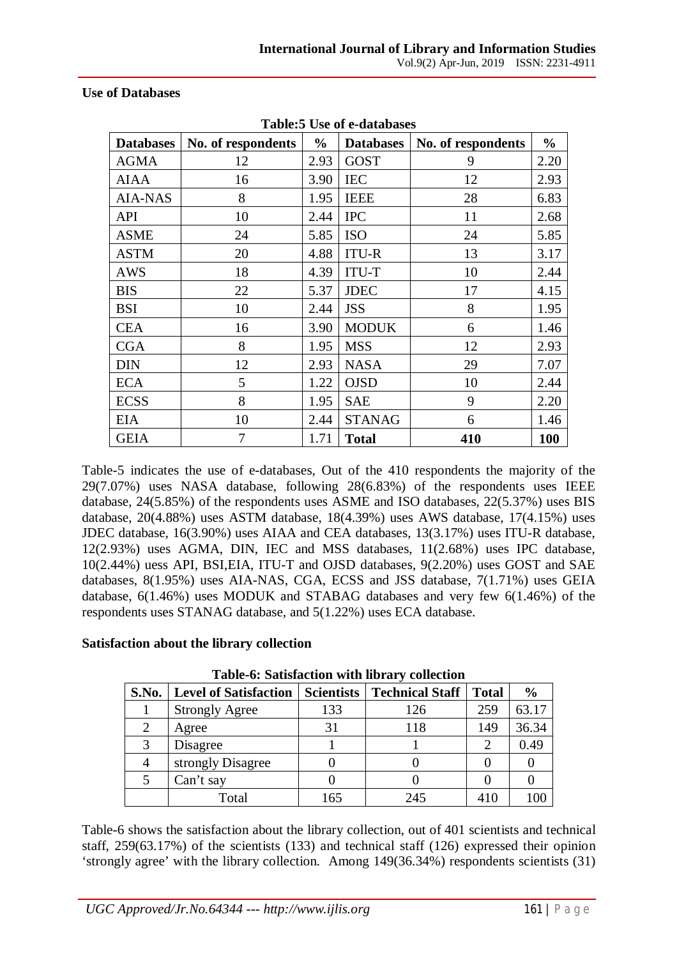#### **Use of Databases**

| <b>Databases</b> | No. of respondents | $\frac{0}{0}$ | <b>Databases</b> | No. of respondents | $\frac{0}{0}$ |
|------------------|--------------------|---------------|------------------|--------------------|---------------|
| <b>AGMA</b>      | 12                 | 2.93          | <b>GOST</b>      | 9                  | 2.20          |
| <b>AIAA</b>      | 16                 | 3.90          | <b>IEC</b>       | 12                 | 2.93          |
| <b>AIA-NAS</b>   | 8                  | 1.95          | <b>IEEE</b>      | 28                 | 6.83          |
| <b>API</b>       | 10                 | 2.44          | <b>IPC</b>       | 11                 | 2.68          |
| <b>ASME</b>      | 24                 | 5.85          | <b>ISO</b>       | 24                 | 5.85          |
| <b>ASTM</b>      | 20                 | 4.88          | <b>ITU-R</b>     | 13                 | 3.17          |
| <b>AWS</b>       | 18                 | 4.39          | <b>ITU-T</b>     | 10                 | 2.44          |
| <b>BIS</b>       | 22                 | 5.37          | <b>JDEC</b>      | 17                 | 4.15          |
| <b>BSI</b>       | 10                 | 2.44          | <b>JSS</b>       | 8                  | 1.95          |
| <b>CEA</b>       | 16                 | 3.90          | <b>MODUK</b>     | 6                  | 1.46          |
| <b>CGA</b>       | 8                  | 1.95          | <b>MSS</b>       | 12                 | 2.93          |
| <b>DIN</b>       | 12                 | 2.93          | <b>NASA</b>      | 29                 | 7.07          |
| <b>ECA</b>       | 5                  | 1.22          | <b>OJSD</b>      | 10                 | 2.44          |
| <b>ECSS</b>      | 8                  | 1.95          | <b>SAE</b>       | 9                  | 2.20          |
| <b>EIA</b>       | 10                 | 2.44          | <b>STANAG</b>    | 6                  | 1.46          |
| <b>GEIA</b>      | 7                  | 1.71          | <b>Total</b>     | 410                | 100           |

**Table:5 Use of e-databases**

Table-5 indicates the use of e-databases, Out of the 410 respondents the majority of the 29(7.07%) uses NASA database, following 28(6.83%) of the respondents uses IEEE database, 24(5.85%) of the respondents uses ASME and ISO databases, 22(5.37%) uses BIS database, 20(4.88%) uses ASTM database, 18(4.39%) uses AWS database, 17(4.15%) uses JDEC database, 16(3.90%) uses AIAA and CEA databases, 13(3.17%) uses ITU-R database, 12(2.93%) uses AGMA, DIN, IEC and MSS databases, 11(2.68%) uses IPC database, 10(2.44%) uess API, BSI,EIA, ITU-T and OJSD databases, 9(2.20%) uses GOST and SAE databases, 8(1.95%) uses AIA-NAS, CGA, ECSS and JSS database, 7(1.71%) uses GEIA database, 6(1.46%) uses MODUK and STABAG databases and very few 6(1.46%) of the respondents uses STANAG database, and 5(1.22%) uses ECA database.

#### **Satisfaction about the library collection**

| Tuble of Duthluction with holdi ( concetion |                              |                   |                        |              |               |  |  |  |
|---------------------------------------------|------------------------------|-------------------|------------------------|--------------|---------------|--|--|--|
| <b>S.No.</b>                                | <b>Level of Satisfaction</b> | <b>Scientists</b> | <b>Technical Staff</b> | <b>Total</b> | $\frac{6}{6}$ |  |  |  |
|                                             | <b>Strongly Agree</b>        | 133               | 126                    | 259          | 63.17         |  |  |  |
|                                             | Agree                        | 31                | 118                    | 149          | 36.34         |  |  |  |
|                                             | Disagree                     |                   |                        |              | 0.49          |  |  |  |
|                                             | strongly Disagree            |                   |                        |              |               |  |  |  |
|                                             | Can't say                    |                   |                        |              |               |  |  |  |
|                                             | Total                        | 165               | 245                    |              |               |  |  |  |

**Table-6: Satisfaction with library collection**

Table-6 shows the satisfaction about the library collection, out of 401 scientists and technical staff, 259(63.17%) of the scientists (133) and technical staff (126) expressed their opinion 'strongly agree' with the library collection. Among 149(36.34%) respondents scientists (31)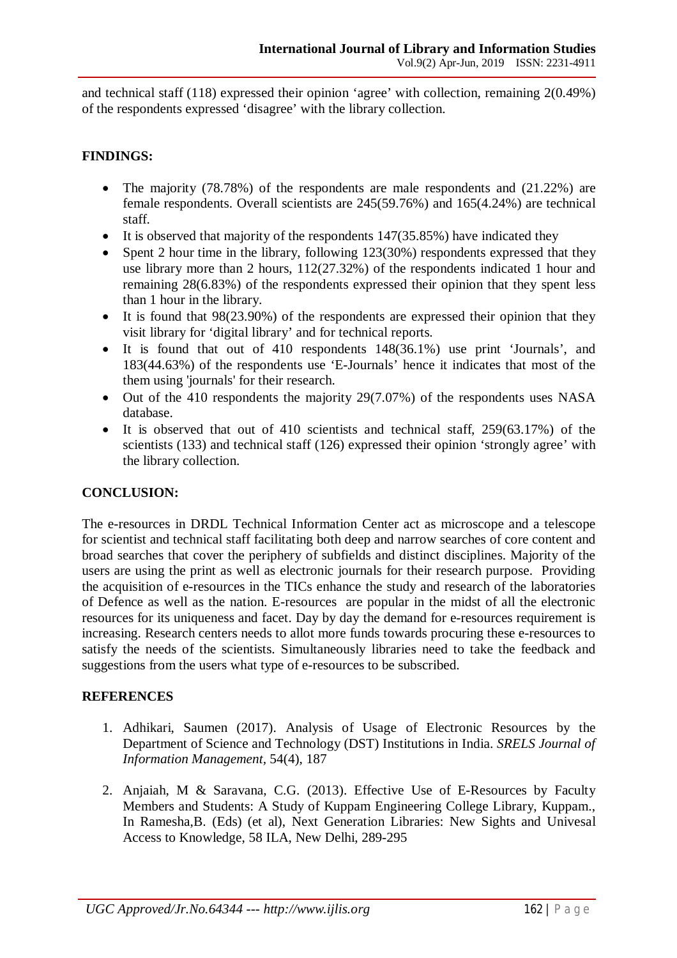and technical staff (118) expressed their opinion 'agree' with collection, remaining 2(0.49%) of the respondents expressed 'disagree' with the library collection.

### **FINDINGS:**

- The majority  $(78.78%)$  of the respondents are male respondents and  $(21.22%)$  are female respondents. Overall scientists are 245(59.76%) and 165(4.24%) are technical staff.
- It is observed that majority of the respondents  $147(35.85%)$  have indicated they
- Spent 2 hour time in the library, following 123(30%) respondents expressed that they use library more than 2 hours, 112(27.32%) of the respondents indicated 1 hour and remaining 28(6.83%) of the respondents expressed their opinion that they spent less than 1 hour in the library.
- It is found that 98(23.90%) of the respondents are expressed their opinion that they visit library for 'digital library' and for technical reports.
- $\bullet$  It is found that out of 410 respondents 148(36.1%) use print 'Journals', and 183(44.63%) of the respondents use 'E-Journals' hence it indicates that most of the them using 'journals' for their research.
- Out of the 410 respondents the majority  $29(7.07%)$  of the respondents uses NASA database.
- It is observed that out of 410 scientists and technical staff, 259(63.17%) of the scientists (133) and technical staff (126) expressed their opinion 'strongly agree' with the library collection.

### **CONCLUSION:**

The e-resources in DRDL Technical Information Center act as microscope and a telescope for scientist and technical staff facilitating both deep and narrow searches of core content and broad searches that cover the periphery of subfields and distinct disciplines. Majority of the users are using the print as well as electronic journals for their research purpose. Providing the acquisition of e-resources in the TICs enhance the study and research of the laboratories of Defence as well as the nation. E-resources are popular in the midst of all the electronic resources for its uniqueness and facet. Day by day the demand for e-resources requirement is increasing. Research centers needs to allot more funds towards procuring these e-resources to satisfy the needs of the scientists. Simultaneously libraries need to take the feedback and suggestions from the users what type of e-resources to be subscribed.

#### **REFERENCES**

- 1. Adhikari, Saumen (2017). Analysis of Usage of Electronic Resources by the Department of Science and Technology (DST) Institutions in India. *SRELS Journal of Information Management,* 54(4), 187
- 2. Anjaiah, M & Saravana, C.G. (2013). Effective Use of E-Resources by Faculty Members and Students: A Study of Kuppam Engineering College Library, Kuppam., In Ramesha,B. (Eds) (et al), Next Generation Libraries: New Sights and Univesal Access to Knowledge, 58 ILA, New Delhi, 289-295